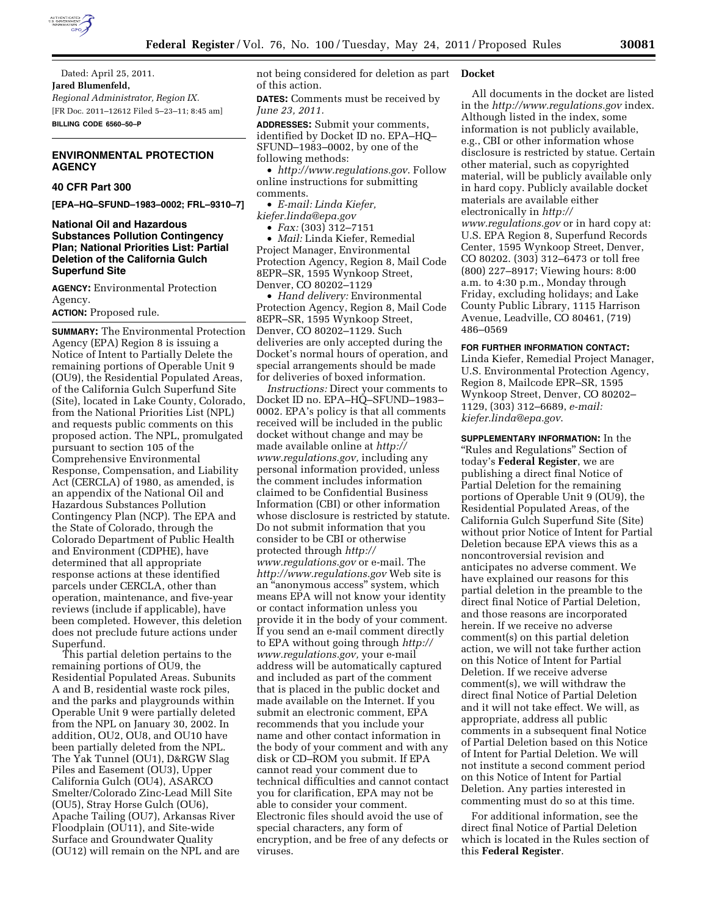

Dated: April 25, 2011. **Jared Blumenfeld,**  *Regional Administrator, Region IX.*  [FR Doc. 2011–12612 Filed 5–23–11; 8:45 am] **BILLING CODE 6560–50–P** 

## **ENVIRONMENTAL PROTECTION AGENCY**

### **40 CFR Part 300**

**[EPA–HQ–SFUND–1983–0002; FRL–9310–7]** 

## **National Oil and Hazardous Substances Pollution Contingency Plan; National Priorities List: Partial Deletion of the California Gulch Superfund Site**

**AGENCY:** Environmental Protection Agency.

### **ACTION:** Proposed rule.

**SUMMARY:** The Environmental Protection Agency (EPA) Region 8 is issuing a Notice of Intent to Partially Delete the remaining portions of Operable Unit 9 (OU9), the Residential Populated Areas, of the California Gulch Superfund Site (Site), located in Lake County, Colorado, from the National Priorities List (NPL) and requests public comments on this proposed action. The NPL, promulgated pursuant to section 105 of the Comprehensive Environmental Response, Compensation, and Liability Act (CERCLA) of 1980, as amended, is an appendix of the National Oil and Hazardous Substances Pollution Contingency Plan (NCP). The EPA and the State of Colorado, through the Colorado Department of Public Health and Environment (CDPHE), have determined that all appropriate response actions at these identified parcels under CERCLA, other than operation, maintenance, and five-year reviews (include if applicable), have been completed. However, this deletion does not preclude future actions under Superfund.

This partial deletion pertains to the remaining portions of OU9, the Residential Populated Areas. Subunits A and B, residential waste rock piles, and the parks and playgrounds within Operable Unit 9 were partially deleted from the NPL on January 30, 2002. In addition, OU2, OU8, and OU10 have been partially deleted from the NPL. The Yak Tunnel (OU1), D&RGW Slag Piles and Easement (OU3), Upper California Gulch (OU4), ASARCO Smelter/Colorado Zinc-Lead Mill Site (OU5), Stray Horse Gulch (OU6), Apache Tailing (OU7), Arkansas River Floodplain (OU11), and Site-wide Surface and Groundwater Quality (OU12) will remain on the NPL and are not being considered for deletion as part of this action.

**DATES:** Comments must be received by *June 23, 2011.* 

**ADDRESSES:** Submit your comments, identified by Docket ID no. EPA–HQ– SFUND–1983–0002, by one of the following methods:

• *<http://www.regulations.gov>*. Follow online instructions for submitting comments.

• *E-mail: Linda Kiefer,* 

*[kiefer.linda@epa.gov](mailto:kiefer.linda@epa.gov)* 

• *Fax:* (303) 312–7151

• *Mail:* Linda Kiefer, Remedial Project Manager, Environmental Protection Agency, Region 8, Mail Code 8EPR–SR, 1595 Wynkoop Street, Denver, CO 80202–1129

• *Hand delivery:* Environmental Protection Agency, Region 8, Mail Code 8EPR–SR, 1595 Wynkoop Street, Denver, CO 80202–1129. Such deliveries are only accepted during the Docket's normal hours of operation, and special arrangements should be made for deliveries of boxed information.

*Instructions:* Direct your comments to Docket ID no. EPA–HQ–SFUND–1983– 0002. EPA's policy is that all comments received will be included in the public docket without change and may be made available online at *[http://](http://www.regulations.gov)  [www.regulations.gov,](http://www.regulations.gov)* including any personal information provided, unless the comment includes information claimed to be Confidential Business Information (CBI) or other information whose disclosure is restricted by statute. Do not submit information that you consider to be CBI or otherwise protected through *[http://](http://www.regulations.gov)  [www.regulations.gov](http://www.regulations.gov)* or e-mail. The *<http://www.regulations.gov>* Web site is an ''anonymous access'' system, which means EPA will not know your identity or contact information unless you provide it in the body of your comment. If you send an e-mail comment directly to EPA without going through *[http://](http://www.regulations.gov) [www.regulations.gov,](http://www.regulations.gov)* your e-mail address will be automatically captured and included as part of the comment that is placed in the public docket and made available on the Internet. If you submit an electronic comment, EPA recommends that you include your name and other contact information in the body of your comment and with any disk or CD–ROM you submit. If EPA cannot read your comment due to technical difficulties and cannot contact you for clarification, EPA may not be able to consider your comment. Electronic files should avoid the use of special characters, any form of encryption, and be free of any defects or viruses.

### **Docket**

All documents in the docket are listed in the *<http://www.regulations.gov>*index. Although listed in the index, some information is not publicly available, e.g., CBI or other information whose disclosure is restricted by statue. Certain other material, such as copyrighted material, will be publicly available only in hard copy. Publicly available docket materials are available either electronically in *[http://](http://www.regulations.gov) [www.regulations.gov](http://www.regulations.gov)* or in hard copy at: U.S. EPA Region 8, Superfund Records Center, 1595 Wynkoop Street, Denver, CO 80202. (303) 312–6473 or toll free (800) 227–8917; Viewing hours: 8:00 a.m. to 4:30 p.m., Monday through Friday, excluding holidays; and Lake County Public Library, 1115 Harrison Avenue, Leadville, CO 80461, (719) 486–0569

**FOR FURTHER INFORMATION CONTACT:**  Linda Kiefer, Remedial Project Manager, U.S. Environmental Protection Agency, Region 8, Mailcode EPR–SR, 1595 Wynkoop Street, Denver, CO 80202– 1129, (303) 312–6689, *e-mail: [kiefer.linda@epa.gov](mailto:kiefer.linda@epa.gov)*.

**SUPPLEMENTARY INFORMATION:** In the ''Rules and Regulations'' Section of today's **Federal Register**, we are publishing a direct final Notice of Partial Deletion for the remaining portions of Operable Unit 9 (OU9), the Residential Populated Areas, of the California Gulch Superfund Site (Site) without prior Notice of Intent for Partial Deletion because EPA views this as a noncontroversial revision and anticipates no adverse comment. We have explained our reasons for this partial deletion in the preamble to the direct final Notice of Partial Deletion, and those reasons are incorporated herein. If we receive no adverse comment(s) on this partial deletion action, we will not take further action on this Notice of Intent for Partial Deletion. If we receive adverse comment(s), we will withdraw the direct final Notice of Partial Deletion and it will not take effect. We will, as appropriate, address all public comments in a subsequent final Notice of Partial Deletion based on this Notice of Intent for Partial Deletion. We will not institute a second comment period on this Notice of Intent for Partial Deletion. Any parties interested in commenting must do so at this time.

For additional information, see the direct final Notice of Partial Deletion which is located in the Rules section of this **Federal Register**.